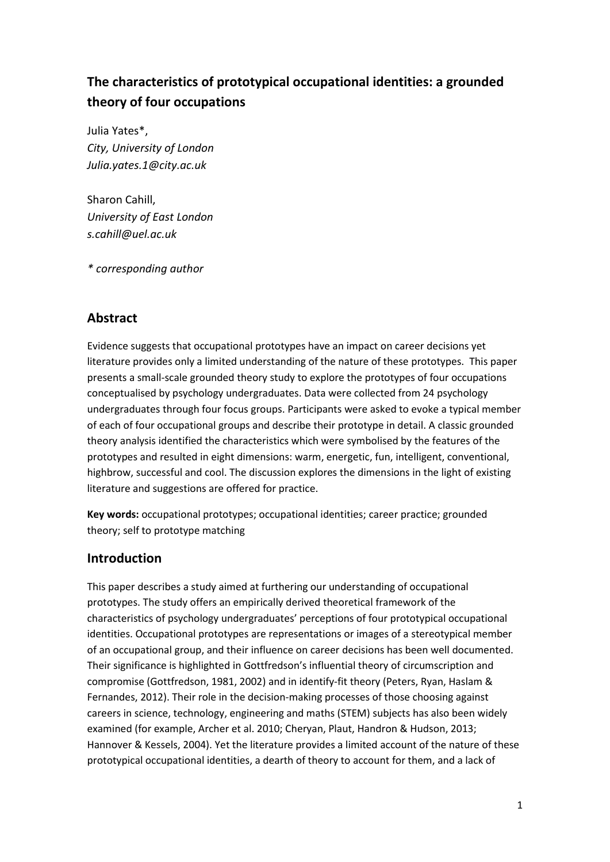# **The characteristics of prototypical occupational identities: a grounded theory of four occupations**

Julia Yates\*, *City, University of London Julia.yates.1@city.ac.uk*

Sharon Cahill, *University of East London s.cahill@uel.ac.uk*

*\* corresponding author*

## **Abstract**

Evidence suggests that occupational prototypes have an impact on career decisions yet literature provides only a limited understanding of the nature of these prototypes. This paper presents a small-scale grounded theory study to explore the prototypes of four occupations conceptualised by psychology undergraduates. Data were collected from 24 psychology undergraduates through four focus groups. Participants were asked to evoke a typical member of each of four occupational groups and describe their prototype in detail. A classic grounded theory analysis identified the characteristics which were symbolised by the features of the prototypes and resulted in eight dimensions: warm, energetic, fun, intelligent, conventional, highbrow, successful and cool. The discussion explores the dimensions in the light of existing literature and suggestions are offered for practice.

**Key words:** occupational prototypes; occupational identities; career practice; grounded theory; self to prototype matching

## **Introduction**

This paper describes a study aimed at furthering our understanding of occupational prototypes. The study offers an empirically derived theoretical framework of the characteristics of psychology undergraduates' perceptions of four prototypical occupational identities. Occupational prototypes are representations or images of a stereotypical member of an occupational group, and their influence on career decisions has been well documented. Their significance is highlighted in Gottfredson's influential theory of circumscription and compromise (Gottfredson, 1981, 2002) and in identify-fit theory (Peters, Ryan, Haslam & Fernandes, 2012). Their role in the decision-making processes of those choosing against careers in science, technology, engineering and maths (STEM) subjects has also been widely examined (for example, Archer et al. 2010; Cheryan, Plaut, Handron & Hudson, 2013; Hannover & Kessels, 2004). Yet the literature provides a limited account of the nature of these prototypical occupational identities, a dearth of theory to account for them, and a lack of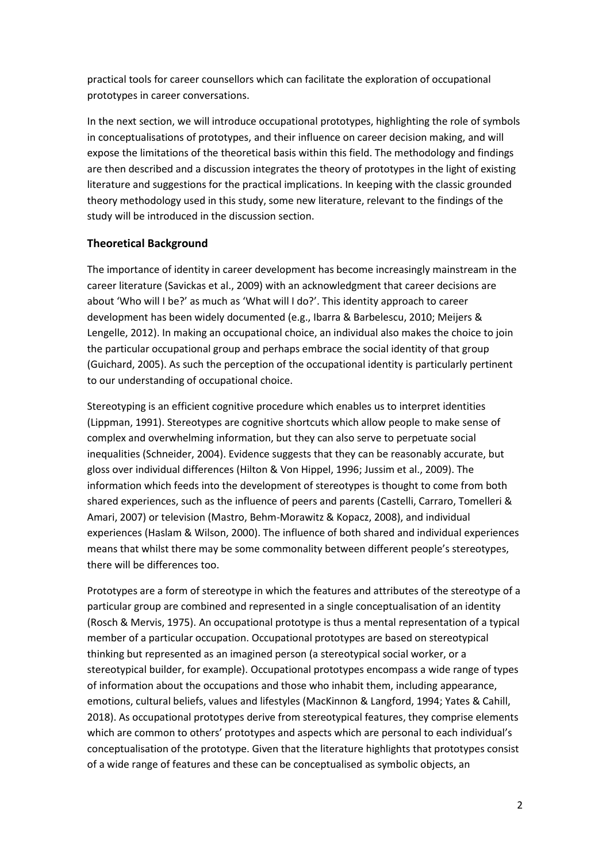practical tools for career counsellors which can facilitate the exploration of occupational prototypes in career conversations.

In the next section, we will introduce occupational prototypes, highlighting the role of symbols in conceptualisations of prototypes, and their influence on career decision making, and will expose the limitations of the theoretical basis within this field. The methodology and findings are then described and a discussion integrates the theory of prototypes in the light of existing literature and suggestions for the practical implications. In keeping with the classic grounded theory methodology used in this study, some new literature, relevant to the findings of the study will be introduced in the discussion section.

## **Theoretical Background**

The importance of identity in career development has become increasingly mainstream in the career literature (Savickas et al., 2009) with an acknowledgment that career decisions are about 'Who will I be?' as much as 'What will I do?'. This identity approach to career development has been widely documented (e.g., Ibarra & Barbelescu, 2010; Meijers & Lengelle, 2012). In making an occupational choice, an individual also makes the choice to join the particular occupational group and perhaps embrace the social identity of that group (Guichard, 2005). As such the perception of the occupational identity is particularly pertinent to our understanding of occupational choice.

Stereotyping is an efficient cognitive procedure which enables us to interpret identities (Lippman, 1991). Stereotypes are cognitive shortcuts which allow people to make sense of complex and overwhelming information, but they can also serve to perpetuate social inequalities (Schneider, 2004). Evidence suggests that they can be reasonably accurate, but gloss over individual differences (Hilton & Von Hippel, 1996; Jussim et al., 2009). The information which feeds into the development of stereotypes is thought to come from both shared experiences, such as the influence of peers and parents (Castelli, Carraro, Tomelleri & Amari, 2007) or television (Mastro, Behm-Morawitz & Kopacz, 2008), and individual experiences (Haslam & Wilson, 2000). The influence of both shared and individual experiences means that whilst there may be some commonality between different people's stereotypes, there will be differences too.

Prototypes are a form of stereotype in which the features and attributes of the stereotype of a particular group are combined and represented in a single conceptualisation of an identity (Rosch & Mervis, 1975). An occupational prototype is thus a mental representation of a typical member of a particular occupation. Occupational prototypes are based on stereotypical thinking but represented as an imagined person (a stereotypical social worker, or a stereotypical builder, for example). Occupational prototypes encompass a wide range of types of information about the occupations and those who inhabit them, including appearance, emotions, cultural beliefs, values and lifestyles (MacKinnon & Langford, 1994; Yates & Cahill, 2018). As occupational prototypes derive from stereotypical features, they comprise elements which are common to others' prototypes and aspects which are personal to each individual's conceptualisation of the prototype. Given that the literature highlights that prototypes consist of a wide range of features and these can be conceptualised as symbolic objects, an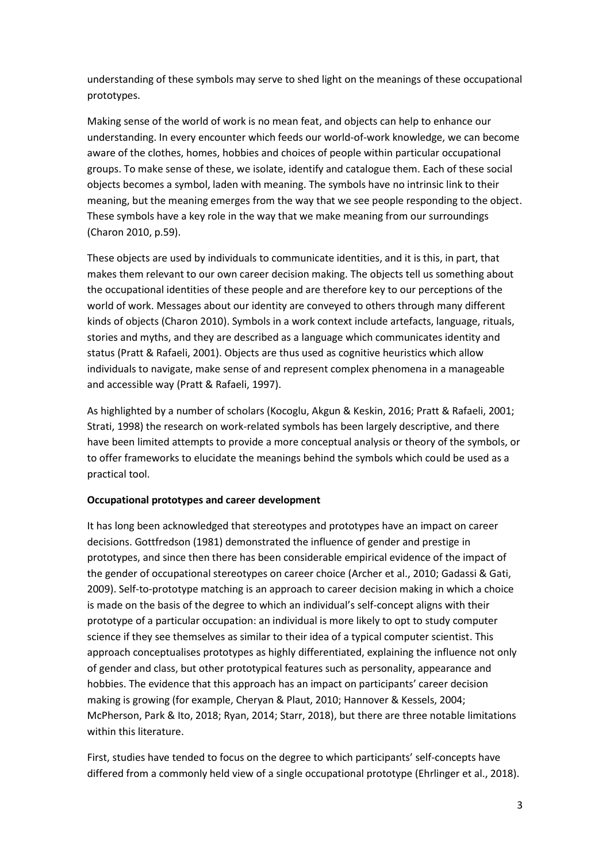understanding of these symbols may serve to shed light on the meanings of these occupational prototypes.

Making sense of the world of work is no mean feat, and objects can help to enhance our understanding. In every encounter which feeds our world-of-work knowledge, we can become aware of the clothes, homes, hobbies and choices of people within particular occupational groups. To make sense of these, we isolate, identify and catalogue them. Each of these social objects becomes a symbol, laden with meaning. The symbols have no intrinsic link to their meaning, but the meaning emerges from the way that we see people responding to the object. These symbols have a key role in the way that we make meaning from our surroundings (Charon 2010, p.59).

These objects are used by individuals to communicate identities, and it is this, in part, that makes them relevant to our own career decision making. The objects tell us something about the occupational identities of these people and are therefore key to our perceptions of the world of work. Messages about our identity are conveyed to others through many different kinds of objects (Charon 2010). Symbols in a work context include artefacts, language, rituals, stories and myths, and they are described as a language which communicates identity and status (Pratt & Rafaeli, 2001). Objects are thus used as cognitive heuristics which allow individuals to navigate, make sense of and represent complex phenomena in a manageable and accessible way (Pratt & Rafaeli, 1997).

As highlighted by a number of scholars (Kocoglu, Akgun & Keskin, 2016; Pratt & Rafaeli, 2001; Strati, 1998) the research on work-related symbols has been largely descriptive, and there have been limited attempts to provide a more conceptual analysis or theory of the symbols, or to offer frameworks to elucidate the meanings behind the symbols which could be used as a practical tool.

### **Occupational prototypes and career development**

It has long been acknowledged that stereotypes and prototypes have an impact on career decisions. Gottfredson (1981) demonstrated the influence of gender and prestige in prototypes, and since then there has been considerable empirical evidence of the impact of the gender of occupational stereotypes on career choice (Archer et al., 2010; Gadassi & Gati, 2009). Self-to-prototype matching is an approach to career decision making in which a choice is made on the basis of the degree to which an individual's self-concept aligns with their prototype of a particular occupation: an individual is more likely to opt to study computer science if they see themselves as similar to their idea of a typical computer scientist. This approach conceptualises prototypes as highly differentiated, explaining the influence not only of gender and class, but other prototypical features such as personality, appearance and hobbies. The evidence that this approach has an impact on participants' career decision making is growing (for example, Cheryan & Plaut, 2010; Hannover & Kessels, 2004; McPherson, Park & Ito, 2018; Ryan, 2014; Starr, 2018), but there are three notable limitations within this literature.

First, studies have tended to focus on the degree to which participants' self-concepts have differed from a commonly held view of a single occupational prototype (Ehrlinger et al., 2018).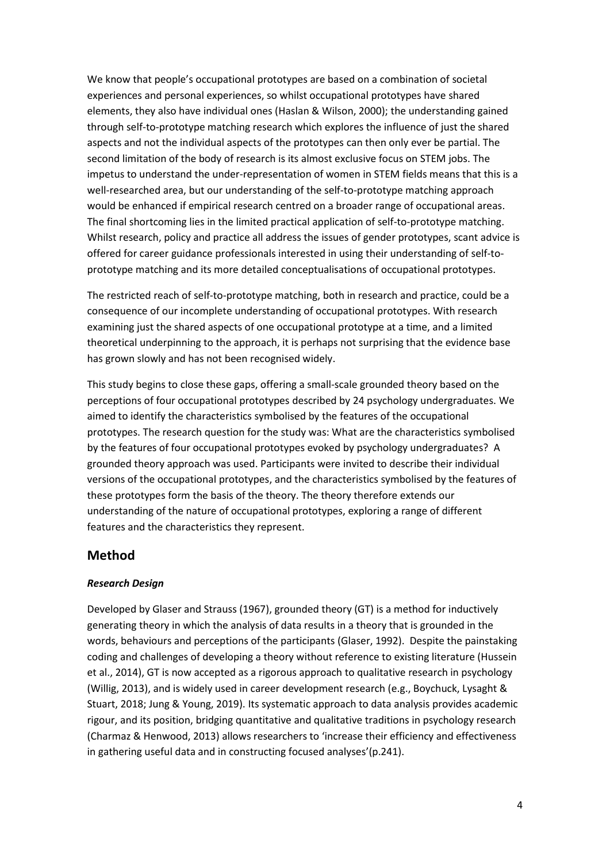We know that people's occupational prototypes are based on a combination of societal experiences and personal experiences, so whilst occupational prototypes have shared elements, they also have individual ones (Haslan & Wilson, 2000); the understanding gained through self-to-prototype matching research which explores the influence of just the shared aspects and not the individual aspects of the prototypes can then only ever be partial. The second limitation of the body of research is its almost exclusive focus on STEM jobs. The impetus to understand the under-representation of women in STEM fields means that this is a well-researched area, but our understanding of the self-to-prototype matching approach would be enhanced if empirical research centred on a broader range of occupational areas. The final shortcoming lies in the limited practical application of self-to-prototype matching. Whilst research, policy and practice all address the issues of gender prototypes, scant advice is offered for career guidance professionals interested in using their understanding of self-toprototype matching and its more detailed conceptualisations of occupational prototypes.

The restricted reach of self-to-prototype matching, both in research and practice, could be a consequence of our incomplete understanding of occupational prototypes. With research examining just the shared aspects of one occupational prototype at a time, and a limited theoretical underpinning to the approach, it is perhaps not surprising that the evidence base has grown slowly and has not been recognised widely.

This study begins to close these gaps, offering a small-scale grounded theory based on the perceptions of four occupational prototypes described by 24 psychology undergraduates. We aimed to identify the characteristics symbolised by the features of the occupational prototypes. The research question for the study was: What are the characteristics symbolised by the features of four occupational prototypes evoked by psychology undergraduates? A grounded theory approach was used. Participants were invited to describe their individual versions of the occupational prototypes, and the characteristics symbolised by the features of these prototypes form the basis of the theory. The theory therefore extends our understanding of the nature of occupational prototypes, exploring a range of different features and the characteristics they represent.

## **Method**

#### *Research Design*

Developed by Glaser and Strauss (1967), grounded theory (GT) is a method for inductively generating theory in which the analysis of data results in a theory that is grounded in the words, behaviours and perceptions of the participants (Glaser, 1992). Despite the painstaking coding and challenges of developing a theory without reference to existing literature (Hussein et al., 2014), GT is now accepted as a rigorous approach to qualitative research in psychology (Willig, 2013), and is widely used in career development research (e.g., Boychuck, Lysaght & Stuart, 2018; Jung & Young, 2019). Its systematic approach to data analysis provides academic rigour, and its position, bridging quantitative and qualitative traditions in psychology research (Charmaz & Henwood, 2013) allows researchers to 'increase their efficiency and effectiveness in gathering useful data and in constructing focused analyses'(p.241).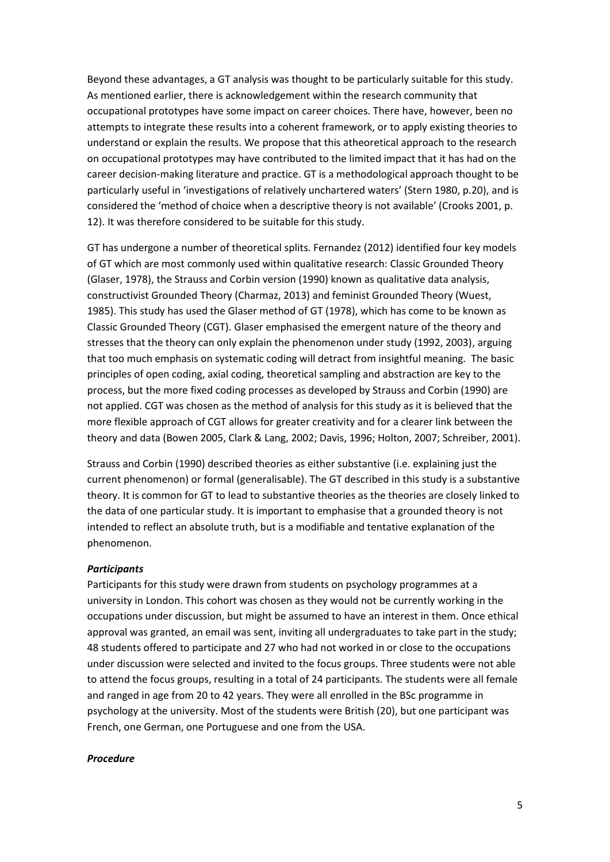Beyond these advantages, a GT analysis was thought to be particularly suitable for this study. As mentioned earlier, there is acknowledgement within the research community that occupational prototypes have some impact on career choices. There have, however, been no attempts to integrate these results into a coherent framework, or to apply existing theories to understand or explain the results. We propose that this atheoretical approach to the research on occupational prototypes may have contributed to the limited impact that it has had on the career decision-making literature and practice. GT is a methodological approach thought to be particularly useful in 'investigations of relatively unchartered waters' (Stern 1980, p.20), and is considered the 'method of choice when a descriptive theory is not available' (Crooks 2001, p. 12). It was therefore considered to be suitable for this study.

GT has undergone a number of theoretical splits. Fernandez (2012) identified four key models of GT which are most commonly used within qualitative research: Classic Grounded Theory (Glaser, 1978), the Strauss and Corbin version (1990) known as qualitative data analysis, constructivist Grounded Theory (Charmaz, 2013) and feminist Grounded Theory (Wuest, 1985). This study has used the Glaser method of GT (1978), which has come to be known as Classic Grounded Theory (CGT). Glaser emphasised the emergent nature of the theory and stresses that the theory can only explain the phenomenon under study (1992, 2003), arguing that too much emphasis on systematic coding will detract from insightful meaning. The basic principles of open coding, axial coding, theoretical sampling and abstraction are key to the process, but the more fixed coding processes as developed by Strauss and Corbin (1990) are not applied. CGT was chosen as the method of analysis for this study as it is believed that the more flexible approach of CGT allows for greater creativity and for a clearer link between the theory and data (Bowen 2005, Clark & Lang, 2002; Davis, 1996; Holton, 2007; Schreiber, 2001).

Strauss and Corbin (1990) described theories as either substantive (i.e. explaining just the current phenomenon) or formal (generalisable). The GT described in this study is a substantive theory. It is common for GT to lead to substantive theories as the theories are closely linked to the data of one particular study. It is important to emphasise that a grounded theory is not intended to reflect an absolute truth, but is a modifiable and tentative explanation of the phenomenon.

#### *Participants*

Participants for this study were drawn from students on psychology programmes at a university in London. This cohort was chosen as they would not be currently working in the occupations under discussion, but might be assumed to have an interest in them. Once ethical approval was granted, an email was sent, inviting all undergraduates to take part in the study; 48 students offered to participate and 27 who had not worked in or close to the occupations under discussion were selected and invited to the focus groups. Three students were not able to attend the focus groups, resulting in a total of 24 participants. The students were all female and ranged in age from 20 to 42 years. They were all enrolled in the BSc programme in psychology at the university. Most of the students were British (20), but one participant was French, one German, one Portuguese and one from the USA.

#### *Procedure*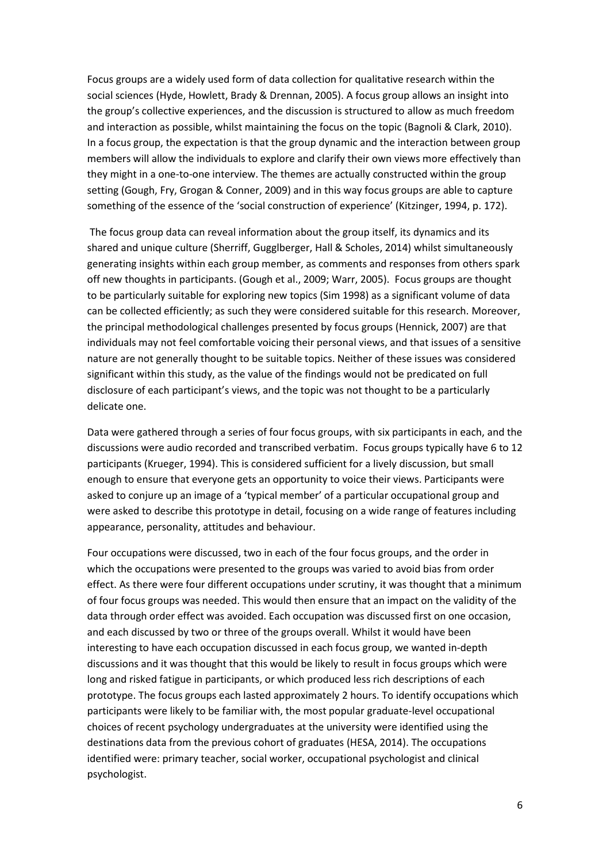Focus groups are a widely used form of data collection for qualitative research within the social sciences (Hyde, Howlett, Brady & Drennan, 2005). A focus group allows an insight into the group's collective experiences, and the discussion is structured to allow as much freedom and interaction as possible, whilst maintaining the focus on the topic (Bagnoli & Clark, 2010). In a focus group, the expectation is that the group dynamic and the interaction between group members will allow the individuals to explore and clarify their own views more effectively than they might in a one-to-one interview. The themes are actually constructed within the group setting (Gough, Fry, Grogan & Conner, 2009) and in this way focus groups are able to capture something of the essence of the 'social construction of experience' (Kitzinger, 1994, p. 172).

The focus group data can reveal information about the group itself, its dynamics and its shared and unique culture (Sherriff, Gugglberger, Hall & Scholes, 2014) whilst simultaneously generating insights within each group member, as comments and responses from others spark off new thoughts in participants. (Gough et al., 2009; Warr, 2005). Focus groups are thought to be particularly suitable for exploring new topics (Sim 1998) as a significant volume of data can be collected efficiently; as such they were considered suitable for this research. Moreover, the principal methodological challenges presented by focus groups (Hennick, 2007) are that individuals may not feel comfortable voicing their personal views, and that issues of a sensitive nature are not generally thought to be suitable topics. Neither of these issues was considered significant within this study, as the value of the findings would not be predicated on full disclosure of each participant's views, and the topic was not thought to be a particularly delicate one.

Data were gathered through a series of four focus groups, with six participants in each, and the discussions were audio recorded and transcribed verbatim. Focus groups typically have 6 to 12 participants (Krueger, 1994). This is considered sufficient for a lively discussion, but small enough to ensure that everyone gets an opportunity to voice their views. Participants were asked to conjure up an image of a 'typical member' of a particular occupational group and were asked to describe this prototype in detail, focusing on a wide range of features including appearance, personality, attitudes and behaviour.

Four occupations were discussed, two in each of the four focus groups, and the order in which the occupations were presented to the groups was varied to avoid bias from order effect. As there were four different occupations under scrutiny, it was thought that a minimum of four focus groups was needed. This would then ensure that an impact on the validity of the data through order effect was avoided. Each occupation was discussed first on one occasion, and each discussed by two or three of the groups overall. Whilst it would have been interesting to have each occupation discussed in each focus group, we wanted in-depth discussions and it was thought that this would be likely to result in focus groups which were long and risked fatigue in participants, or which produced less rich descriptions of each prototype. The focus groups each lasted approximately 2 hours. To identify occupations which participants were likely to be familiar with, the most popular graduate-level occupational choices of recent psychology undergraduates at the university were identified using the destinations data from the previous cohort of graduates (HESA, 2014). The occupations identified were: primary teacher, social worker, occupational psychologist and clinical psychologist.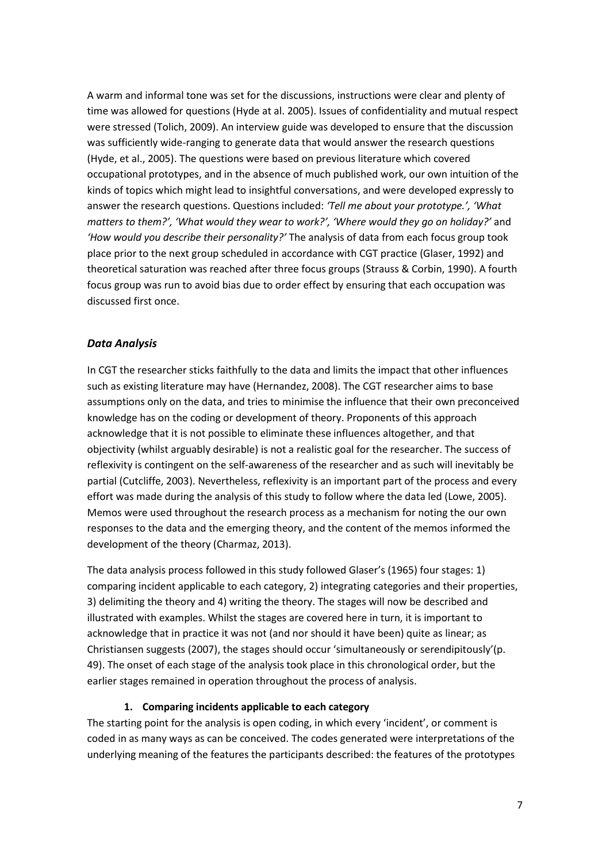A warm and informal tone was set for the discussions, instructions were clear and plenty of time was allowed for questions (Hyde at al. 2005). Issues of confidentiality and mutual respect were stressed (Tolich, 2009). An interview guide was developed to ensure that the discussion was sufficiently wide-ranging to generate data that would answer the research questions (Hyde, et al., 2005). The questions were based on previous literature which covered occupational prototypes, and in the absence of much published work, our own intuition of the kinds of topics which might lead to insightful conversations, and were developed expressly to answer the research questions. Questions included: *'Tell me about your prototype.', 'What matters to them?', 'What would they wear to work?', 'Where would they go on holiday?'* and *'How would you describe their personality?'* The analysis of data from each focus group took place prior to the next group scheduled in accordance with CGT practice (Glaser, 1992) and theoretical saturation was reached after three focus groups (Strauss & Corbin, 1990). A fourth focus group was run to avoid bias due to order effect by ensuring that each occupation was discussed first once.

#### *Data Analysis*

In CGT the researcher sticks faithfully to the data and limits the impact that other influences such as existing literature may have (Hernandez, 2008). The CGT researcher aims to base assumptions only on the data, and tries to minimise the influence that their own preconceived knowledge has on the coding or development of theory. Proponents of this approach acknowledge that it is not possible to eliminate these influences altogether, and that objectivity (whilst arguably desirable) is not a realistic goal for the researcher. The success of reflexivity is contingent on the self-awareness of the researcher and as such will inevitably be partial (Cutcliffe, 2003). Nevertheless, reflexivity is an important part of the process and every effort was made during the analysis of this study to follow where the data led (Lowe, 2005). Memos were used throughout the research process as a mechanism for noting the our own responses to the data and the emerging theory, and the content of the memos informed the development of the theory (Charmaz, 2013).

The data analysis process followed in this study followed Glaser's (1965) four stages: 1) comparing incident applicable to each category, 2) integrating categories and their properties, 3) delimiting the theory and 4) writing the theory. The stages will now be described and illustrated with examples. Whilst the stages are covered here in turn, it is important to acknowledge that in practice it was not (and nor should it have been) quite as linear; as Christiansen suggests (2007), the stages should occur 'simultaneously or serendipitously'(p. 49). The onset of each stage of the analysis took place in this chronological order, but the earlier stages remained in operation throughout the process of analysis.

#### **1. Comparing incidents applicable to each category**

The starting point for the analysis is open coding, in which every 'incident', or comment is coded in as many ways as can be conceived. The codes generated were interpretations of the underlying meaning of the features the participants described: the features of the prototypes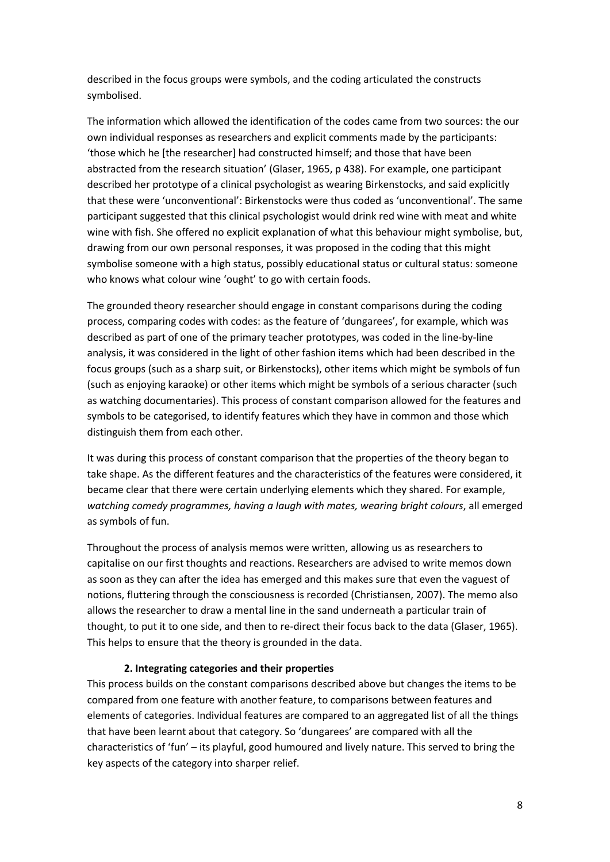described in the focus groups were symbols, and the coding articulated the constructs symbolised.

The information which allowed the identification of the codes came from two sources: the our own individual responses as researchers and explicit comments made by the participants: 'those which he [the researcher] had constructed himself; and those that have been abstracted from the research situation' (Glaser, 1965, p 438). For example, one participant described her prototype of a clinical psychologist as wearing Birkenstocks, and said explicitly that these were 'unconventional': Birkenstocks were thus coded as 'unconventional'. The same participant suggested that this clinical psychologist would drink red wine with meat and white wine with fish. She offered no explicit explanation of what this behaviour might symbolise, but, drawing from our own personal responses, it was proposed in the coding that this might symbolise someone with a high status, possibly educational status or cultural status: someone who knows what colour wine 'ought' to go with certain foods.

The grounded theory researcher should engage in constant comparisons during the coding process, comparing codes with codes: as the feature of 'dungarees', for example, which was described as part of one of the primary teacher prototypes, was coded in the line-by-line analysis, it was considered in the light of other fashion items which had been described in the focus groups (such as a sharp suit, or Birkenstocks), other items which might be symbols of fun (such as enjoying karaoke) or other items which might be symbols of a serious character (such as watching documentaries). This process of constant comparison allowed for the features and symbols to be categorised, to identify features which they have in common and those which distinguish them from each other.

It was during this process of constant comparison that the properties of the theory began to take shape. As the different features and the characteristics of the features were considered, it became clear that there were certain underlying elements which they shared. For example, *watching comedy programmes, having a laugh with mates, wearing bright colours*, all emerged as symbols of fun.

Throughout the process of analysis memos were written, allowing us as researchers to capitalise on our first thoughts and reactions. Researchers are advised to write memos down as soon as they can after the idea has emerged and this makes sure that even the vaguest of notions, fluttering through the consciousness is recorded (Christiansen, 2007). The memo also allows the researcher to draw a mental line in the sand underneath a particular train of thought, to put it to one side, and then to re-direct their focus back to the data (Glaser, 1965). This helps to ensure that the theory is grounded in the data.

#### **2. Integrating categories and their properties**

This process builds on the constant comparisons described above but changes the items to be compared from one feature with another feature, to comparisons between features and elements of categories. Individual features are compared to an aggregated list of all the things that have been learnt about that category. So 'dungarees' are compared with all the characteristics of 'fun' – its playful, good humoured and lively nature. This served to bring the key aspects of the category into sharper relief.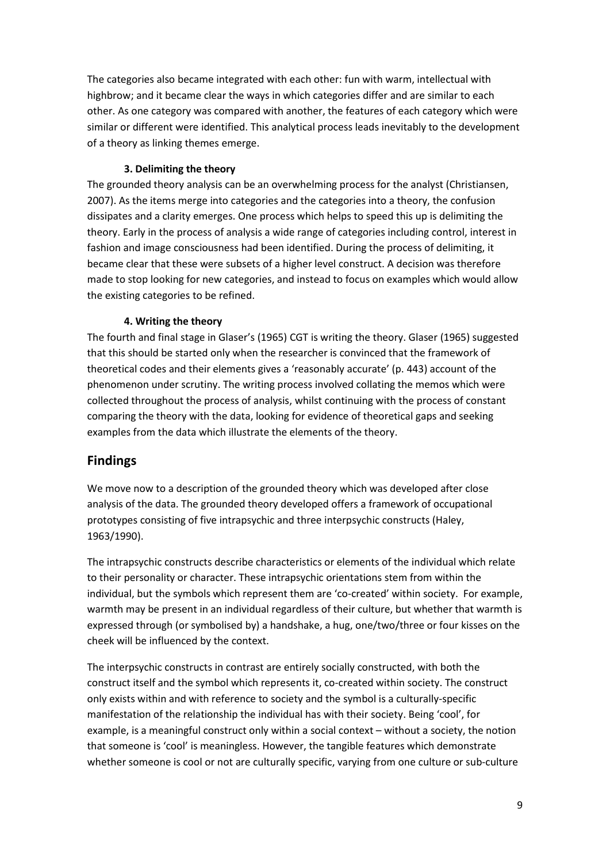The categories also became integrated with each other: fun with warm, intellectual with highbrow; and it became clear the ways in which categories differ and are similar to each other. As one category was compared with another, the features of each category which were similar or different were identified. This analytical process leads inevitably to the development of a theory as linking themes emerge.

## **3. Delimiting the theory**

The grounded theory analysis can be an overwhelming process for the analyst (Christiansen, 2007). As the items merge into categories and the categories into a theory, the confusion dissipates and a clarity emerges. One process which helps to speed this up is delimiting the theory. Early in the process of analysis a wide range of categories including control, interest in fashion and image consciousness had been identified. During the process of delimiting, it became clear that these were subsets of a higher level construct. A decision was therefore made to stop looking for new categories, and instead to focus on examples which would allow the existing categories to be refined.

## **4. Writing the theory**

The fourth and final stage in Glaser's (1965) CGT is writing the theory. Glaser (1965) suggested that this should be started only when the researcher is convinced that the framework of theoretical codes and their elements gives a 'reasonably accurate' (p. 443) account of the phenomenon under scrutiny. The writing process involved collating the memos which were collected throughout the process of analysis, whilst continuing with the process of constant comparing the theory with the data, looking for evidence of theoretical gaps and seeking examples from the data which illustrate the elements of the theory.

## **Findings**

We move now to a description of the grounded theory which was developed after close analysis of the data. The grounded theory developed offers a framework of occupational prototypes consisting of five intrapsychic and three interpsychic constructs (Haley, 1963/1990).

The intrapsychic constructs describe characteristics or elements of the individual which relate to their personality or character. These intrapsychic orientations stem from within the individual, but the symbols which represent them are 'co-created' within society. For example, warmth may be present in an individual regardless of their culture, but whether that warmth is expressed through (or symbolised by) a handshake, a hug, one/two/three or four kisses on the cheek will be influenced by the context.

The interpsychic constructs in contrast are entirely socially constructed, with both the construct itself and the symbol which represents it, co-created within society. The construct only exists within and with reference to society and the symbol is a culturally-specific manifestation of the relationship the individual has with their society. Being 'cool', for example, is a meaningful construct only within a social context – without a society, the notion that someone is 'cool' is meaningless. However, the tangible features which demonstrate whether someone is cool or not are culturally specific, varying from one culture or sub-culture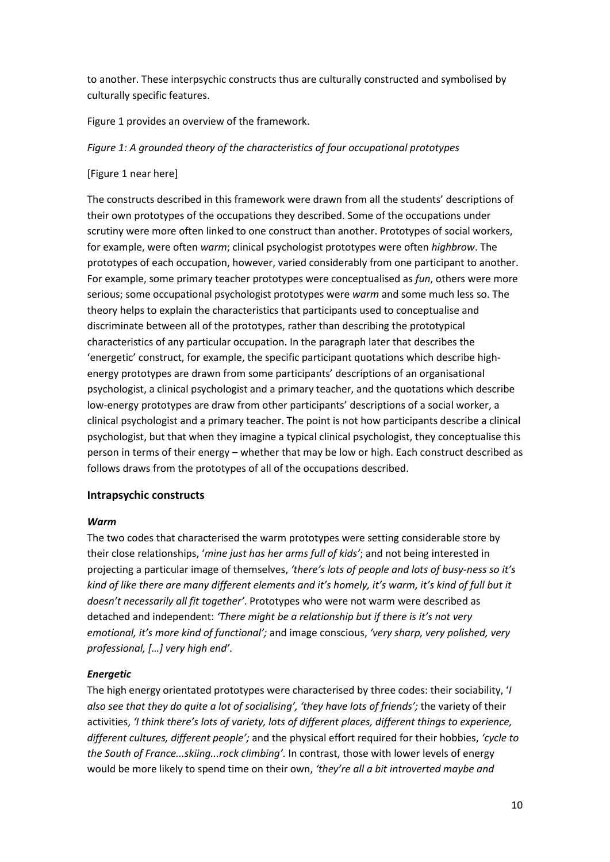to another. These interpsychic constructs thus are culturally constructed and symbolised by culturally specific features.

Figure 1 provides an overview of the framework.

#### *Figure 1: A grounded theory of the characteristics of four occupational prototypes*

#### [Figure 1 near here]

The constructs described in this framework were drawn from all the students' descriptions of their own prototypes of the occupations they described. Some of the occupations under scrutiny were more often linked to one construct than another. Prototypes of social workers, for example, were often *warm*; clinical psychologist prototypes were often *highbrow*. The prototypes of each occupation, however, varied considerably from one participant to another. For example, some primary teacher prototypes were conceptualised as *fun*, others were more serious; some occupational psychologist prototypes were *warm* and some much less so. The theory helps to explain the characteristics that participants used to conceptualise and discriminate between all of the prototypes, rather than describing the prototypical characteristics of any particular occupation. In the paragraph later that describes the 'energetic' construct, for example, the specific participant quotations which describe highenergy prototypes are drawn from some participants' descriptions of an organisational psychologist, a clinical psychologist and a primary teacher, and the quotations which describe low-energy prototypes are draw from other participants' descriptions of a social worker, a clinical psychologist and a primary teacher. The point is not how participants describe a clinical psychologist, but that when they imagine a typical clinical psychologist, they conceptualise this person in terms of their energy – whether that may be low or high. Each construct described as follows draws from the prototypes of all of the occupations described.

#### **Intrapsychic constructs**

#### *Warm*

The two codes that characterised the warm prototypes were setting considerable store by their close relationships, '*mine just has her arms full of kids'*; and not being interested in projecting a particular image of themselves, *'there's lots of people and lots of busy-ness so it's kind of like there are many different elements and it's homely, it's warm, it's kind of full but it doesn't necessarily all fit together'*. Prototypes who were not warm were described as detached and independent: *'There might be a relationship but if there is it's not very emotional, it's more kind of functional';* and image conscious, *'very sharp, very polished, very professional, […] very high end'*.

### *Energetic*

The high energy orientated prototypes were characterised by three codes: their sociability, '*I also see that they do quite a lot of socialising', 'they have lots of friends';* the variety of their activities, *'I think there's lots of variety, lots of different places, different things to experience, different cultures, different people';* and the physical effort required for their hobbies, *'cycle to the South of France...skiing...rock climbing'.* In contrast, those with lower levels of energy would be more likely to spend time on their own, *'they're all a bit introverted maybe and*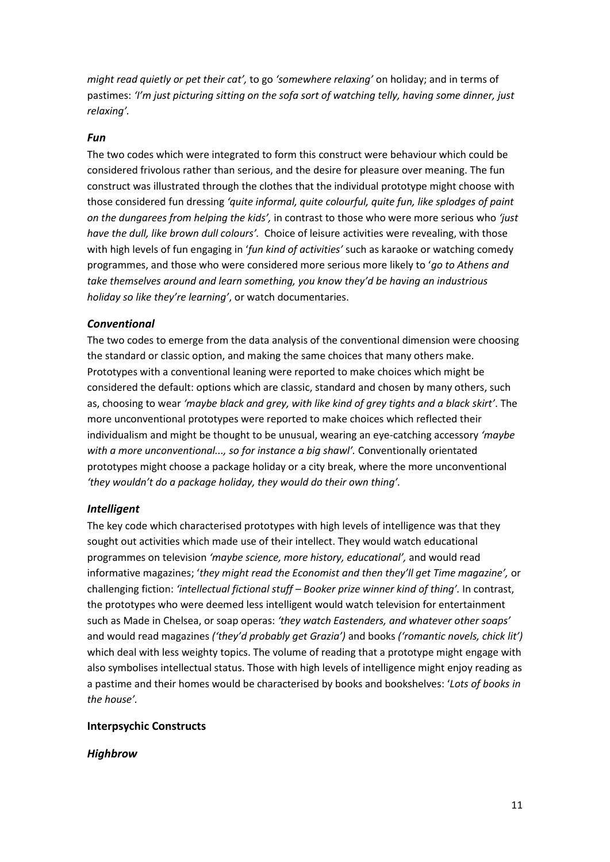*might read quietly or pet their cat',* to go *'somewhere relaxing'* on holiday; and in terms of pastimes: 'I'm just picturing sitting on the sofa sort of watching telly, having some dinner, just *relaxing'.*

#### *Fun*

The two codes which were integrated to form this construct were behaviour which could be considered frivolous rather than serious, and the desire for pleasure over meaning. The fun construct was illustrated through the clothes that the individual prototype might choose with those considered fun dressing *'quite informal, quite colourful, quite fun, like splodges of paint on the dungarees from helping the kids',* in contrast to those who were more serious who *'just have the dull, like brown dull colours'.* Choice of leisure activities were revealing, with those with high levels of fun engaging in '*fun kind of activities'* such as karaoke or watching comedy programmes, and those who were considered more serious more likely to '*go to Athens and take themselves around and learn something, you know they'd be having an industrious holiday so like they're learning'*, or watch documentaries.

#### *Conventional*

The two codes to emerge from the data analysis of the conventional dimension were choosing the standard or classic option, and making the same choices that many others make. Prototypes with a conventional leaning were reported to make choices which might be considered the default: options which are classic, standard and chosen by many others, such as, choosing to wear *'maybe black and grey, with like kind of grey tights and a black skirt'*. The more unconventional prototypes were reported to make choices which reflected their individualism and might be thought to be unusual, wearing an eye-catching accessory *'maybe with a more unconventional..., so for instance a big shawl'.* Conventionally orientated prototypes might choose a package holiday or a city break, where the more unconventional *'they wouldn't do a package holiday, they would do their own thing'.*

#### *Intelligent*

The key code which characterised prototypes with high levels of intelligence was that they sought out activities which made use of their intellect. They would watch educational programmes on television *'maybe science, more history, educational',* and would read informative magazines; '*they might read the Economist and then they'll get Time magazine',* or challenging fiction: *'intellectual fictional stuff – Booker prize winner kind of thing'.* In contrast, the prototypes who were deemed less intelligent would watch television for entertainment such as Made in Chelsea, or soap operas: *'they watch Eastenders, and whatever other soaps'*  and would read magazines *('they'd probably get Grazia')* and books *('romantic novels, chick lit')*  which deal with less weighty topics. The volume of reading that a prototype might engage with also symbolises intellectual status. Those with high levels of intelligence might enjoy reading as a pastime and their homes would be characterised by books and bookshelves: '*Lots of books in the house'.*

#### **Interpsychic Constructs**

#### *Highbrow*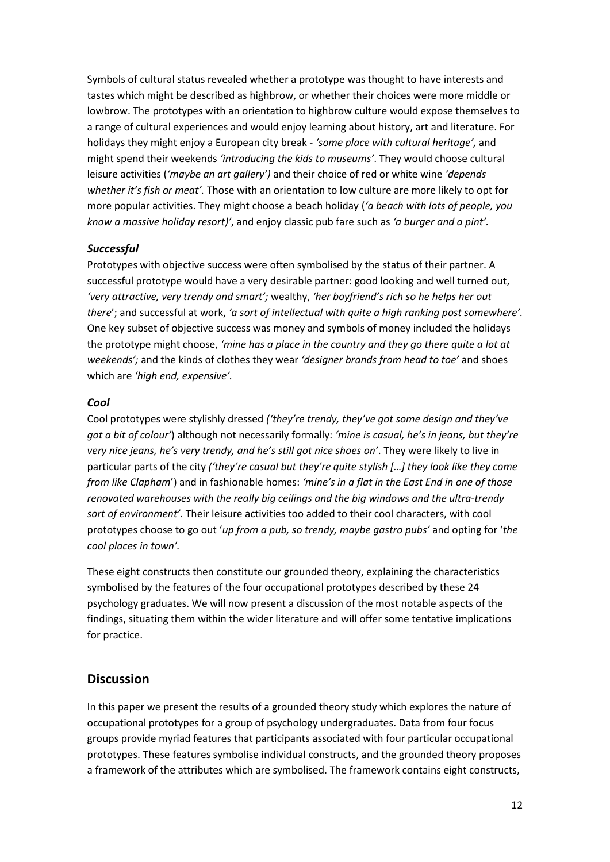Symbols of cultural status revealed whether a prototype was thought to have interests and tastes which might be described as highbrow, or whether their choices were more middle or lowbrow. The prototypes with an orientation to highbrow culture would expose themselves to a range of cultural experiences and would enjoy learning about history, art and literature. For holidays they might enjoy a European city break - *'some place with cultural heritage',* and might spend their weekends *'introducing the kids to museums'*. They would choose cultural leisure activities (*'maybe an art gallery')* and their choice of red or white wine *'depends whether it's fish or meat'.* Those with an orientation to low culture are more likely to opt for more popular activities. They might choose a beach holiday (*'a beach with lots of people, you know a massive holiday resort)'*, and enjoy classic pub fare such as *'a burger and a pint'.* 

## *Successful*

Prototypes with objective success were often symbolised by the status of their partner. A successful prototype would have a very desirable partner: good looking and well turned out, *'very attractive, very trendy and smart';* wealthy, *'her boyfriend's rich so he helps her out there*'; and successful at work, *'a sort of intellectual with quite a high ranking post somewhere'.*  One key subset of objective success was money and symbols of money included the holidays the prototype might choose, *'mine has a place in the country and they go there quite a lot at weekends';* and the kinds of clothes they wear *'designer brands from head to toe'* and shoes which are *'high end, expensive'.*

### *Cool*

Cool prototypes were stylishly dressed *('they're trendy, they've got some design and they've got a bit of colour'*) although not necessarily formally: *'mine is casual, he's in jeans, but they're very nice jeans, he's very trendy, and he's still got nice shoes on'*. They were likely to live in particular parts of the city *('they're casual but they're quite stylish […] they look like they come from like Clapham*') and in fashionable homes: *'mine's in a flat in the East End in one of those renovated warehouses with the really big ceilings and the big windows and the ultra-trendy sort of environment'*. Their leisure activities too added to their cool characters, with cool prototypes choose to go out '*up from a pub, so trendy, maybe gastro pubs'* and opting for '*the cool places in town'.*

These eight constructs then constitute our grounded theory, explaining the characteristics symbolised by the features of the four occupational prototypes described by these 24 psychology graduates. We will now present a discussion of the most notable aspects of the findings, situating them within the wider literature and will offer some tentative implications for practice.

## **Discussion**

In this paper we present the results of a grounded theory study which explores the nature of occupational prototypes for a group of psychology undergraduates. Data from four focus groups provide myriad features that participants associated with four particular occupational prototypes. These features symbolise individual constructs, and the grounded theory proposes a framework of the attributes which are symbolised. The framework contains eight constructs,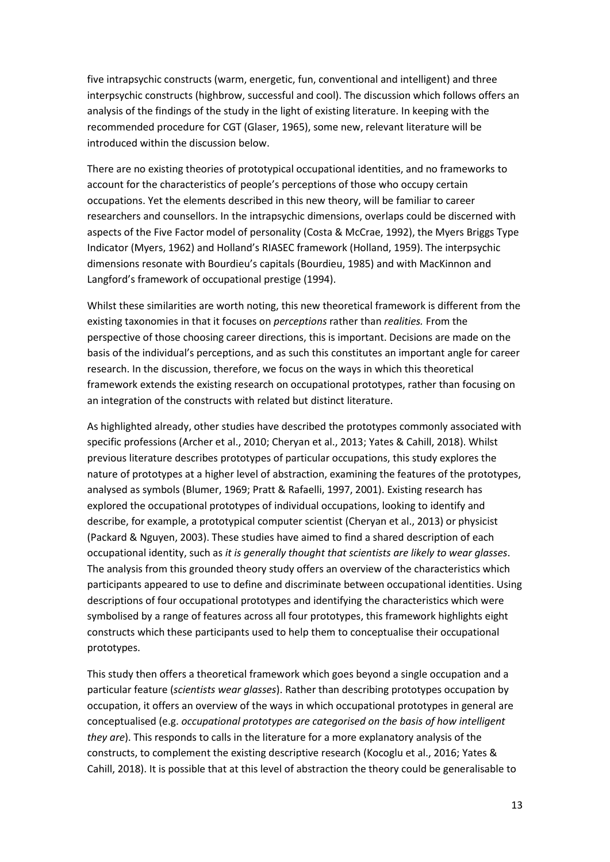five intrapsychic constructs (warm, energetic, fun, conventional and intelligent) and three interpsychic constructs (highbrow, successful and cool). The discussion which follows offers an analysis of the findings of the study in the light of existing literature. In keeping with the recommended procedure for CGT (Glaser, 1965), some new, relevant literature will be introduced within the discussion below.

There are no existing theories of prototypical occupational identities, and no frameworks to account for the characteristics of people's perceptions of those who occupy certain occupations. Yet the elements described in this new theory, will be familiar to career researchers and counsellors. In the intrapsychic dimensions, overlaps could be discerned with aspects of the Five Factor model of personality (Costa & McCrae, 1992), the Myers Briggs Type Indicator (Myers, 1962) and Holland's RIASEC framework (Holland, 1959). The interpsychic dimensions resonate with Bourdieu's capitals (Bourdieu, 1985) and with MacKinnon and Langford's framework of occupational prestige (1994).

Whilst these similarities are worth noting, this new theoretical framework is different from the existing taxonomies in that it focuses on *perceptions* rather than *realities.* From the perspective of those choosing career directions, this is important. Decisions are made on the basis of the individual's perceptions, and as such this constitutes an important angle for career research. In the discussion, therefore, we focus on the ways in which this theoretical framework extends the existing research on occupational prototypes, rather than focusing on an integration of the constructs with related but distinct literature.

As highlighted already, other studies have described the prototypes commonly associated with specific professions (Archer et al., 2010; Cheryan et al., 2013; Yates & Cahill, 2018). Whilst previous literature describes prototypes of particular occupations, this study explores the nature of prototypes at a higher level of abstraction, examining the features of the prototypes, analysed as symbols (Blumer, 1969; Pratt & Rafaelli, 1997, 2001). Existing research has explored the occupational prototypes of individual occupations, looking to identify and describe, for example, a prototypical computer scientist (Cheryan et al., 2013) or physicist (Packard & Nguyen, 2003). These studies have aimed to find a shared description of each occupational identity, such as *it is generally thought that scientists are likely to wear glasses*. The analysis from this grounded theory study offers an overview of the characteristics which participants appeared to use to define and discriminate between occupational identities. Using descriptions of four occupational prototypes and identifying the characteristics which were symbolised by a range of features across all four prototypes, this framework highlights eight constructs which these participants used to help them to conceptualise their occupational prototypes.

This study then offers a theoretical framework which goes beyond a single occupation and a particular feature (*scientists wear glasses*). Rather than describing prototypes occupation by occupation, it offers an overview of the ways in which occupational prototypes in general are conceptualised (e.g. *occupational prototypes are categorised on the basis of how intelligent they are*). This responds to calls in the literature for a more explanatory analysis of the constructs, to complement the existing descriptive research (Kocoglu et al., 2016; Yates & Cahill, 2018). It is possible that at this level of abstraction the theory could be generalisable to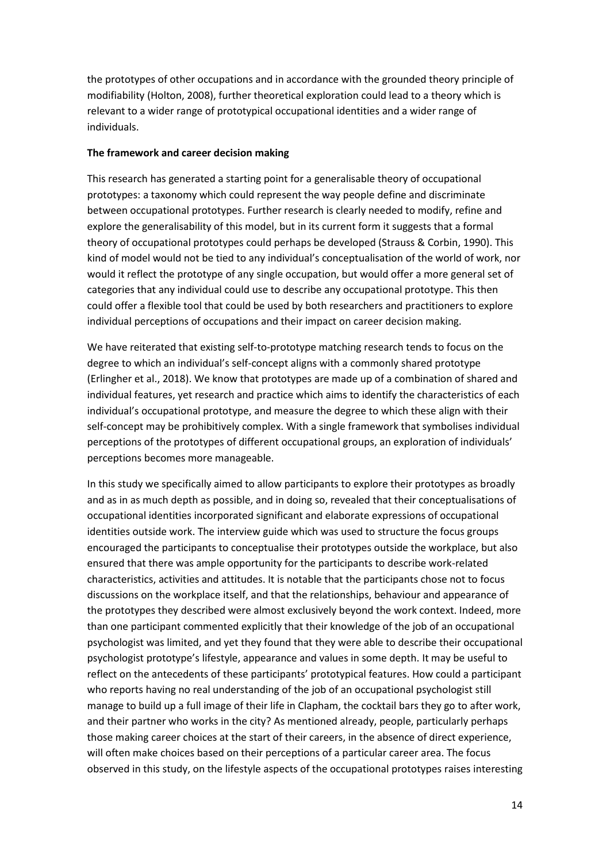the prototypes of other occupations and in accordance with the grounded theory principle of modifiability (Holton, 2008), further theoretical exploration could lead to a theory which is relevant to a wider range of prototypical occupational identities and a wider range of individuals.

#### **The framework and career decision making**

This research has generated a starting point for a generalisable theory of occupational prototypes: a taxonomy which could represent the way people define and discriminate between occupational prototypes. Further research is clearly needed to modify, refine and explore the generalisability of this model, but in its current form it suggests that a formal theory of occupational prototypes could perhaps be developed (Strauss & Corbin, 1990). This kind of model would not be tied to any individual's conceptualisation of the world of work, nor would it reflect the prototype of any single occupation, but would offer a more general set of categories that any individual could use to describe any occupational prototype. This then could offer a flexible tool that could be used by both researchers and practitioners to explore individual perceptions of occupations and their impact on career decision making.

We have reiterated that existing self-to-prototype matching research tends to focus on the degree to which an individual's self-concept aligns with a commonly shared prototype (Erlingher et al., 2018). We know that prototypes are made up of a combination of shared and individual features, yet research and practice which aims to identify the characteristics of each individual's occupational prototype, and measure the degree to which these align with their self-concept may be prohibitively complex. With a single framework that symbolises individual perceptions of the prototypes of different occupational groups, an exploration of individuals' perceptions becomes more manageable.

In this study we specifically aimed to allow participants to explore their prototypes as broadly and as in as much depth as possible, and in doing so, revealed that their conceptualisations of occupational identities incorporated significant and elaborate expressions of occupational identities outside work. The interview guide which was used to structure the focus groups encouraged the participants to conceptualise their prototypes outside the workplace, but also ensured that there was ample opportunity for the participants to describe work-related characteristics, activities and attitudes. It is notable that the participants chose not to focus discussions on the workplace itself, and that the relationships, behaviour and appearance of the prototypes they described were almost exclusively beyond the work context. Indeed, more than one participant commented explicitly that their knowledge of the job of an occupational psychologist was limited, and yet they found that they were able to describe their occupational psychologist prototype's lifestyle, appearance and values in some depth. It may be useful to reflect on the antecedents of these participants' prototypical features. How could a participant who reports having no real understanding of the job of an occupational psychologist still manage to build up a full image of their life in Clapham, the cocktail bars they go to after work, and their partner who works in the city? As mentioned already, people, particularly perhaps those making career choices at the start of their careers, in the absence of direct experience, will often make choices based on their perceptions of a particular career area. The focus observed in this study, on the lifestyle aspects of the occupational prototypes raises interesting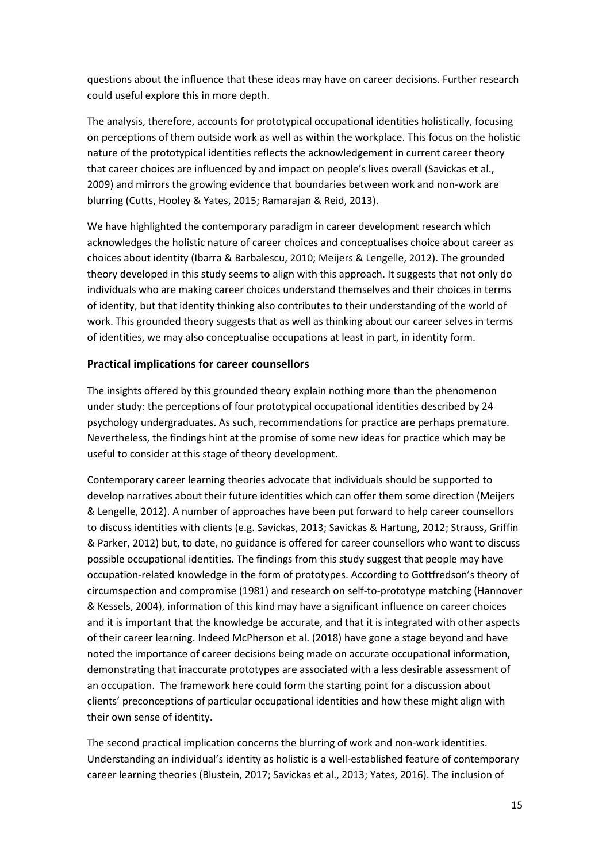questions about the influence that these ideas may have on career decisions. Further research could useful explore this in more depth.

The analysis, therefore, accounts for prototypical occupational identities holistically, focusing on perceptions of them outside work as well as within the workplace. This focus on the holistic nature of the prototypical identities reflects the acknowledgement in current career theory that career choices are influenced by and impact on people's lives overall (Savickas et al., 2009) and mirrors the growing evidence that boundaries between work and non-work are blurring (Cutts, Hooley & Yates, 2015; Ramarajan & Reid, 2013).

We have highlighted the contemporary paradigm in career development research which acknowledges the holistic nature of career choices and conceptualises choice about career as choices about identity (Ibarra & Barbalescu, 2010; Meijers & Lengelle, 2012). The grounded theory developed in this study seems to align with this approach. It suggests that not only do individuals who are making career choices understand themselves and their choices in terms of identity, but that identity thinking also contributes to their understanding of the world of work. This grounded theory suggests that as well as thinking about our career selves in terms of identities, we may also conceptualise occupations at least in part, in identity form.

## **Practical implications for career counsellors**

The insights offered by this grounded theory explain nothing more than the phenomenon under study: the perceptions of four prototypical occupational identities described by 24 psychology undergraduates. As such, recommendations for practice are perhaps premature. Nevertheless, the findings hint at the promise of some new ideas for practice which may be useful to consider at this stage of theory development.

Contemporary career learning theories advocate that individuals should be supported to develop narratives about their future identities which can offer them some direction (Meijers & Lengelle, 2012). A number of approaches have been put forward to help career counsellors to discuss identities with clients (e.g. Savickas, 2013; Savickas & Hartung, 2012; Strauss, Griffin & Parker, 2012) but, to date, no guidance is offered for career counsellors who want to discuss possible occupational identities. The findings from this study suggest that people may have occupation-related knowledge in the form of prototypes. According to Gottfredson's theory of circumspection and compromise (1981) and research on self-to-prototype matching (Hannover & Kessels, 2004), information of this kind may have a significant influence on career choices and it is important that the knowledge be accurate, and that it is integrated with other aspects of their career learning. Indeed McPherson et al. (2018) have gone a stage beyond and have noted the importance of career decisions being made on accurate occupational information, demonstrating that inaccurate prototypes are associated with a less desirable assessment of an occupation. The framework here could form the starting point for a discussion about clients' preconceptions of particular occupational identities and how these might align with their own sense of identity.

The second practical implication concerns the blurring of work and non-work identities. Understanding an individual's identity as holistic is a well-established feature of contemporary career learning theories (Blustein, 2017; Savickas et al., 2013; Yates, 2016). The inclusion of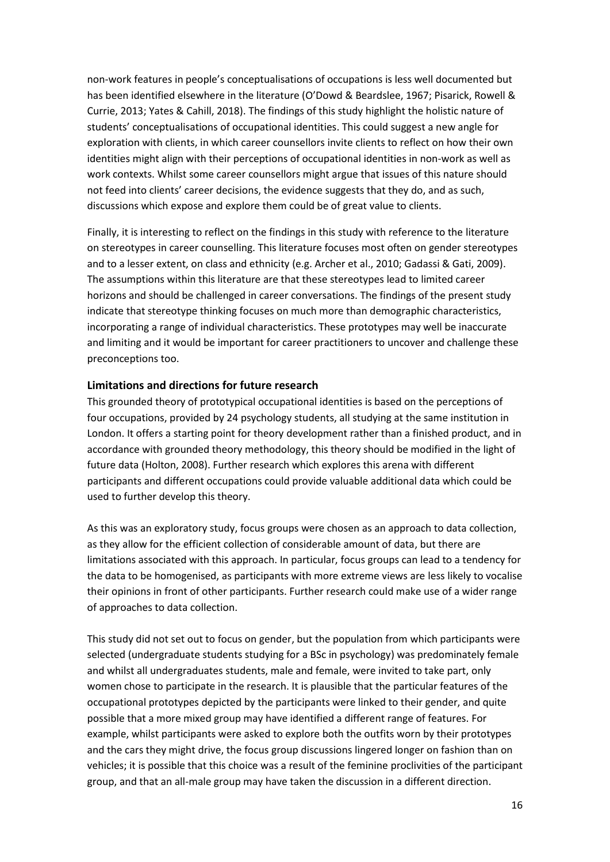non-work features in people's conceptualisations of occupations is less well documented but has been identified elsewhere in the literature (O'Dowd & Beardslee, 1967; Pisarick, Rowell & Currie, 2013; Yates & Cahill, 2018). The findings of this study highlight the holistic nature of students' conceptualisations of occupational identities. This could suggest a new angle for exploration with clients, in which career counsellors invite clients to reflect on how their own identities might align with their perceptions of occupational identities in non-work as well as work contexts. Whilst some career counsellors might argue that issues of this nature should not feed into clients' career decisions, the evidence suggests that they do, and as such, discussions which expose and explore them could be of great value to clients.

Finally, it is interesting to reflect on the findings in this study with reference to the literature on stereotypes in career counselling. This literature focuses most often on gender stereotypes and to a lesser extent, on class and ethnicity (e.g. Archer et al., 2010; Gadassi & Gati, 2009). The assumptions within this literature are that these stereotypes lead to limited career horizons and should be challenged in career conversations. The findings of the present study indicate that stereotype thinking focuses on much more than demographic characteristics, incorporating a range of individual characteristics. These prototypes may well be inaccurate and limiting and it would be important for career practitioners to uncover and challenge these preconceptions too.

### **Limitations and directions for future research**

This grounded theory of prototypical occupational identities is based on the perceptions of four occupations, provided by 24 psychology students, all studying at the same institution in London. It offers a starting point for theory development rather than a finished product, and in accordance with grounded theory methodology, this theory should be modified in the light of future data (Holton, 2008). Further research which explores this arena with different participants and different occupations could provide valuable additional data which could be used to further develop this theory.

As this was an exploratory study, focus groups were chosen as an approach to data collection, as they allow for the efficient collection of considerable amount of data, but there are limitations associated with this approach. In particular, focus groups can lead to a tendency for the data to be homogenised, as participants with more extreme views are less likely to vocalise their opinions in front of other participants. Further research could make use of a wider range of approaches to data collection.

This study did not set out to focus on gender, but the population from which participants were selected (undergraduate students studying for a BSc in psychology) was predominately female and whilst all undergraduates students, male and female, were invited to take part, only women chose to participate in the research. It is plausible that the particular features of the occupational prototypes depicted by the participants were linked to their gender, and quite possible that a more mixed group may have identified a different range of features. For example, whilst participants were asked to explore both the outfits worn by their prototypes and the cars they might drive, the focus group discussions lingered longer on fashion than on vehicles; it is possible that this choice was a result of the feminine proclivities of the participant group, and that an all-male group may have taken the discussion in a different direction.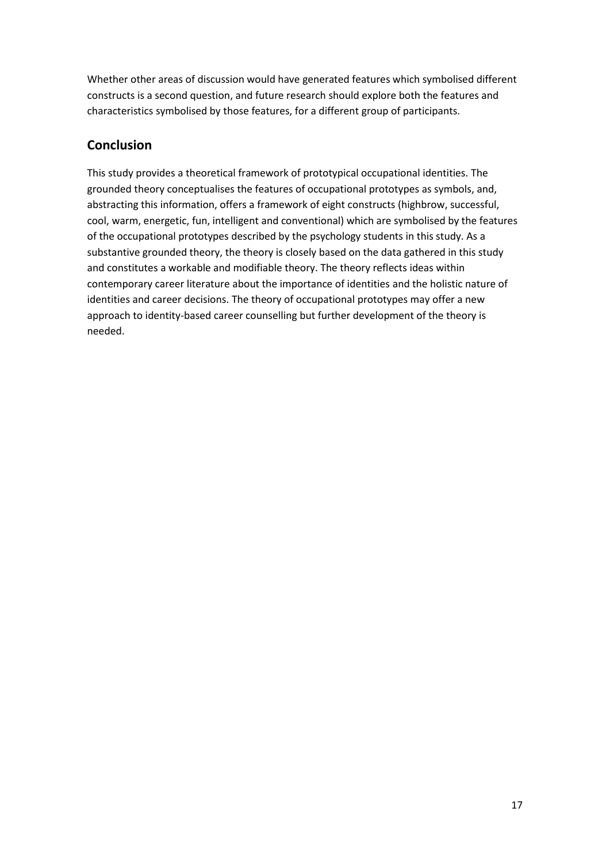Whether other areas of discussion would have generated features which symbolised different constructs is a second question, and future research should explore both the features and characteristics symbolised by those features, for a different group of participants.

## **Conclusion**

This study provides a theoretical framework of prototypical occupational identities. The grounded theory conceptualises the features of occupational prototypes as symbols, and, abstracting this information, offers a framework of eight constructs (highbrow, successful, cool, warm, energetic, fun, intelligent and conventional) which are symbolised by the features of the occupational prototypes described by the psychology students in this study. As a substantive grounded theory, the theory is closely based on the data gathered in this study and constitutes a workable and modifiable theory. The theory reflects ideas within contemporary career literature about the importance of identities and the holistic nature of identities and career decisions. The theory of occupational prototypes may offer a new approach to identity-based career counselling but further development of the theory is needed.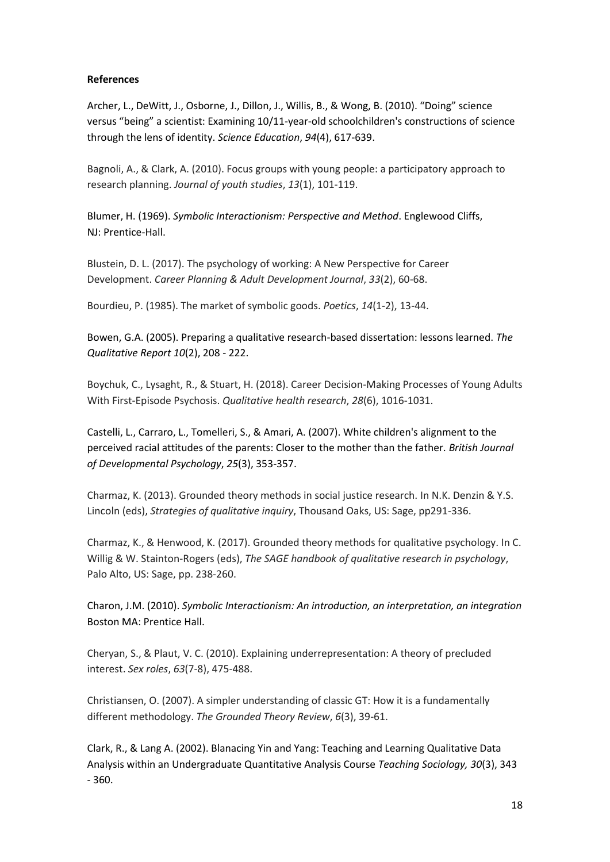#### **References**

Archer, L., DeWitt, J., Osborne, J., Dillon, J., Willis, B., & Wong, B. (2010). "Doing" science versus "being" a scientist: Examining 10/11‐year‐old schoolchildren's constructions of science through the lens of identity. *Science Education*, *94*(4), 617-639.

Bagnoli, A., & Clark, A. (2010). Focus groups with young people: a participatory approach to research planning. *Journal of youth studies*, *13*(1), 101-119.

Blumer, H. (1969). *Symbolic Interactionism: Perspective and Method*. Englewood Cliffs, NJ: Prentice-Hall.

Blustein, D. L. (2017). The psychology of working: A New Perspective for Career Development. *Career Planning & Adult Development Journal*, *33*(2), 60-68.

Bourdieu, P. (1985). The market of symbolic goods. *Poetics*, *14*(1-2), 13-44.

Bowen, G.A. (2005). Preparing a qualitative research-based dissertation: lessons learned. *The Qualitative Report 10*(2), 208 - 222.

Boychuk, C., Lysaght, R., & Stuart, H. (2018). Career Decision-Making Processes of Young Adults With First-Episode Psychosis. *Qualitative health research*, *28*(6), 1016-1031.

Castelli, L., Carraro, L., Tomelleri, S., & Amari, A. (2007). White children's alignment to the perceived racial attitudes of the parents: Closer to the mother than the father. *British Journal of Developmental Psychology*, *25*(3), 353-357.

Charmaz, K. (2013). Grounded theory methods in social justice research. In N.K. Denzin & Y.S. Lincoln (eds), *Strategies of qualitative inquiry*, Thousand Oaks, US: Sage, pp291-336.

Charmaz, K., & Henwood, K. (2017). Grounded theory methods for qualitative psychology. In C. Willig & W. Stainton-Rogers (eds), *The SAGE handbook of qualitative research in psychology*, Palo Alto, US: Sage, pp. 238-260.

Charon, J.M. (2010). *Symbolic Interactionism: An introduction, an interpretation, an integration*  Boston MA: Prentice Hall.

Cheryan, S., & Plaut, V. C. (2010). Explaining underrepresentation: A theory of precluded interest. *Sex roles*, *63*(7-8), 475-488.

Christiansen, O. (2007). A simpler understanding of classic GT: How it is a fundamentally different methodology. *The Grounded Theory Review*, *6*(3), 39-61.

Clark, R., & Lang A. (2002). Blanacing Yin and Yang: Teaching and Learning Qualitative Data Analysis within an Undergraduate Quantitative Analysis Course *Teaching Sociology, 30*(3), 343 - 360.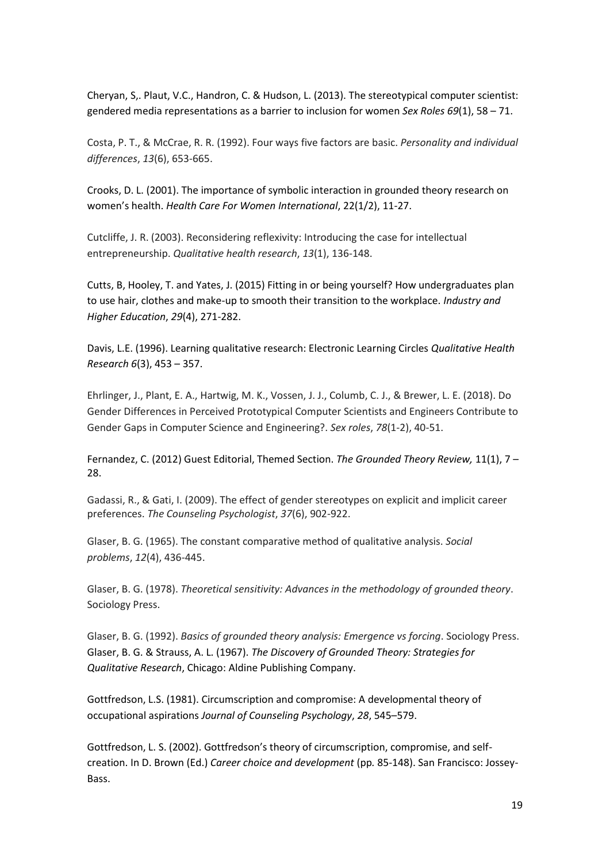Cheryan, S,. Plaut, V.C., Handron, C. & Hudson, L. (2013). The stereotypical computer scientist: gendered media representations as a barrier to inclusion for women *Sex Roles 69*(1), 58 – 71.

Costa, P. T., & McCrae, R. R. (1992). Four ways five factors are basic. *Personality and individual differences*, *13*(6), 653-665.

Crooks, D. L. (2001). The importance of symbolic interaction in grounded theory research on women's health. *Health Care For Women International*, 22(1/2), 11-27.

Cutcliffe, J. R. (2003). Reconsidering reflexivity: Introducing the case for intellectual entrepreneurship. *Qualitative health research*, *13*(1), 136-148.

Cutts, B, Hooley, T. and Yates, J. (2015) Fitting in or being yourself? How undergraduates plan to use hair, clothes and make-up to smooth their transition to the workplace. *Industry and Higher Education*, *29*(4), 271-282.

Davis, L.E. (1996). Learning qualitative research: Electronic Learning Circles *Qualitative Health Research 6*(3), 453 – 357.

Ehrlinger, J., Plant, E. A., Hartwig, M. K., Vossen, J. J., Columb, C. J., & Brewer, L. E. (2018). Do Gender Differences in Perceived Prototypical Computer Scientists and Engineers Contribute to Gender Gaps in Computer Science and Engineering?. *Sex roles*, *78*(1-2), 40-51.

Fernandez, C. (2012) Guest Editorial, Themed Section. *The Grounded Theory Review,* 11(1), 7 – 28.

Gadassi, R., & Gati, I. (2009). The effect of gender stereotypes on explicit and implicit career preferences. *The Counseling Psychologist*, *37*(6), 902-922.

Glaser, B. G. (1965). The constant comparative method of qualitative analysis. *Social problems*, *12*(4), 436-445.

Glaser, B. G. (1978). *Theoretical sensitivity: Advances in the methodology of grounded theory*. Sociology Press.

Glaser, B. G. (1992). *Basics of grounded theory analysis: Emergence vs forcing*. Sociology Press. Glaser, B. G. & Strauss, A. L. (1967). *The Discovery of Grounded Theory: Strategies for Qualitative Research*, Chicago: Aldine Publishing Company.

Gottfredson, L.S. (1981). Circumscription and compromise: A developmental theory of occupational aspirations *Journal of Counseling Psychology*, *28*, 545–579.

Gottfredson, L. S. (2002). Gottfredson's theory of circumscription, compromise, and selfcreation. In D. Brown (Ed.) *Career choice and development* (pp*.* 85-148). San Francisco: Jossey-Bass.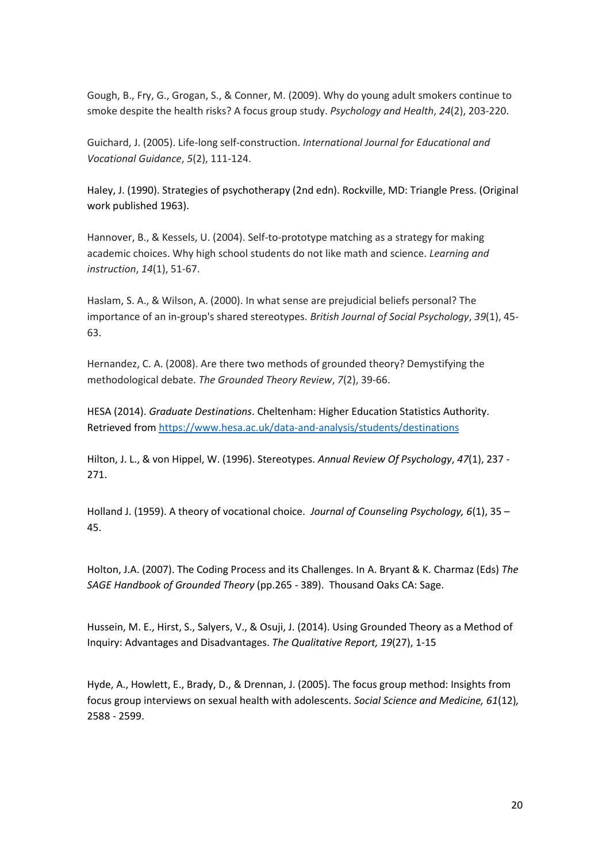Gough, B., Fry, G., Grogan, S., & Conner, M. (2009). Why do young adult smokers continue to smoke despite the health risks? A focus group study. *Psychology and Health*, *24*(2), 203-220.

Guichard, J. (2005). Life-long self-construction. *International Journal for Educational and Vocational Guidance*, *5*(2), 111-124.

Haley, J. (1990). Strategies of psychotherapy (2nd edn). Rockville, MD: Triangle Press. (Original work published 1963).

Hannover, B., & Kessels, U. (2004). Self-to-prototype matching as a strategy for making academic choices. Why high school students do not like math and science. *Learning and instruction*, *14*(1), 51-67.

Haslam, S. A., & Wilson, A. (2000). In what sense are prejudicial beliefs personal? The importance of an in‐group's shared stereotypes. *British Journal of Social Psychology*, *39*(1), 45- 63.

Hernandez, C. A. (2008). Are there two methods of grounded theory? Demystifying the methodological debate. *The Grounded Theory Review*, *7*(2), 39-66.

HESA (2014). *Graduate Destinations*. Cheltenham: Higher Education Statistics Authority. Retrieved from<https://www.hesa.ac.uk/data-and-analysis/students/destinations>

Hilton, J. L., & von Hippel, W. (1996). Stereotypes. *Annual Review Of Psychology*, *47*(1), 237 - 271.

Holland J. (1959). A theory of vocational choice. *Journal of Counseling Psychology, 6*(1), 35 – 45.

Holton, J.A. (2007). The Coding Process and its Challenges. In A. Bryant & K. Charmaz (Eds) *The SAGE Handbook of Grounded Theory* (pp.265 - 389). Thousand Oaks CA: Sage.

Hussein, M. E., Hirst, S., Salyers, V., & Osuji, J. (2014). Using Grounded Theory as a Method of Inquiry: Advantages and Disadvantages. *The Qualitative Report, 19*(27), 1-15

Hyde, A., Howlett, E., Brady, D., & Drennan, J. (2005). The focus group method: Insights from focus group interviews on sexual health with adolescents. *Social Science and Medicine, 61*(12)*,*  2588 - 2599.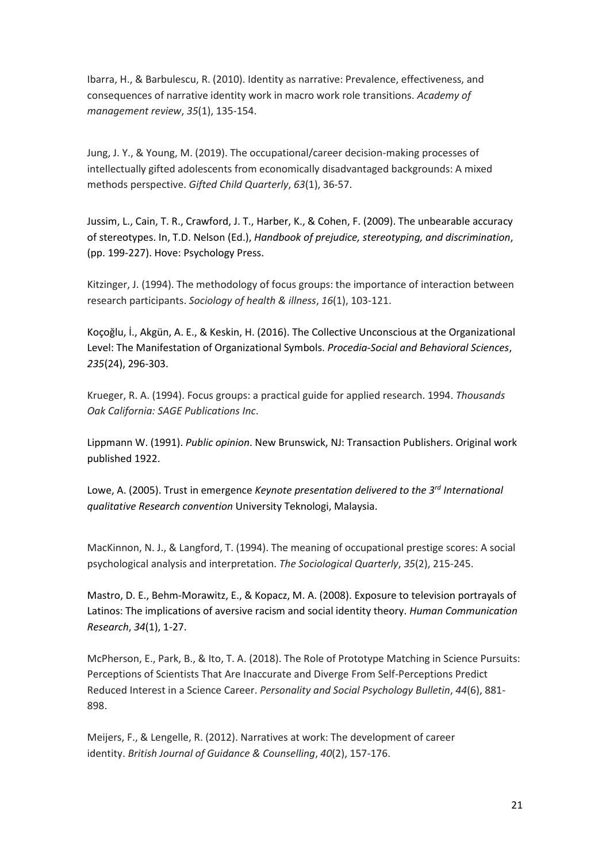Ibarra, H., & Barbulescu, R. (2010). Identity as narrative: Prevalence, effectiveness, and consequences of narrative identity work in macro work role transitions. *Academy of management review*, *35*(1), 135-154.

Jung, J. Y., & Young, M. (2019). The occupational/career decision-making processes of intellectually gifted adolescents from economically disadvantaged backgrounds: A mixed methods perspective. *Gifted Child Quarterly*, *63*(1), 36-57.

Jussim, L., Cain, T. R., Crawford, J. T., Harber, K., & Cohen, F. (2009). The unbearable accuracy of stereotypes. In, T.D. Nelson (Ed.), *Handbook of prejudice, stereotyping, and discrimination*, (pp. 199-227). Hove: Psychology Press.

Kitzinger, J. (1994). The methodology of focus groups: the importance of interaction between research participants. *Sociology of health & illness*, *16*(1), 103-121.

Koçoğlu, İ., Akgün, A. E., & Keskin, H. (2016). The Collective Unconscious at the Organizational Level: The Manifestation of Organizational Symbols. *Procedia-Social and Behavioral Sciences*, *235*(24), 296-303.

Krueger, R. A. (1994). Focus groups: a practical guide for applied research. 1994. *Thousands Oak California: SAGE Publications Inc*.

Lippmann W. (1991). *Public opinion*. New Brunswick, NJ: Transaction Publishers. Original work published 1922.

Lowe, A. (2005). Trust in emergence *Keynote presentation delivered to the 3rd International qualitative Research convention* University Teknologi, Malaysia.

MacKinnon, N. J., & Langford, T. (1994). The meaning of occupational prestige scores: A social psychological analysis and interpretation. *The Sociological Quarterly*, *35*(2), 215-245.

Mastro, D. E., Behm‐Morawitz, E., & Kopacz, M. A. (2008). Exposure to television portrayals of Latinos: The implications of aversive racism and social identity theory. *Human Communication Research*, *34*(1), 1-27.

McPherson, E., Park, B., & Ito, T. A. (2018). The Role of Prototype Matching in Science Pursuits: Perceptions of Scientists That Are Inaccurate and Diverge From Self-Perceptions Predict Reduced Interest in a Science Career. *Personality and Social Psychology Bulletin*, *44*(6), 881- 898.

Meijers, F., & Lengelle, R. (2012). Narratives at work: The development of career identity. *British Journal of Guidance & Counselling*, *40*(2), 157-176.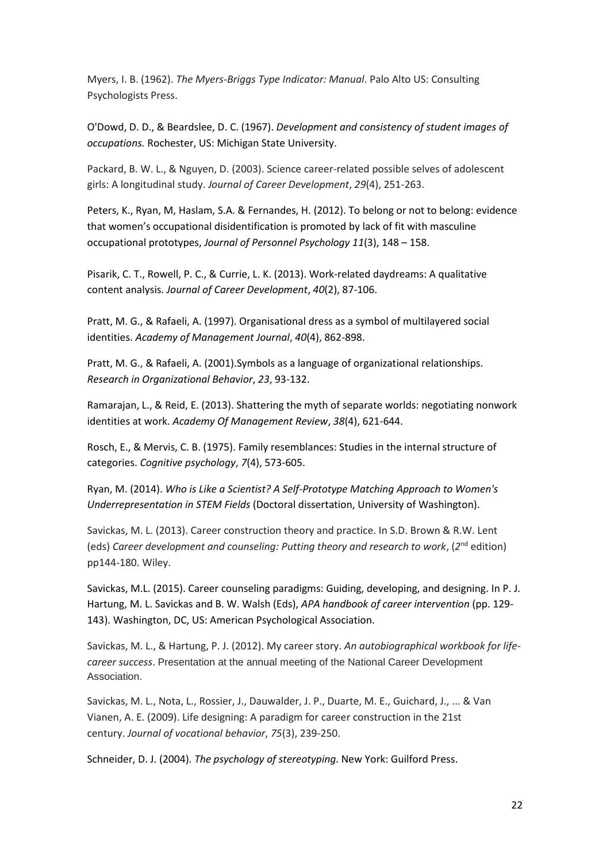Myers, I. B. (1962). *The Myers-Briggs Type Indicator: Manual*. Palo Alto US: Consulting Psychologists Press.

O'Dowd, D. D., & Beardslee, D. C. (1967). *Development and consistency of student images of occupations.* Rochester, US: Michigan State University.

Packard, B. W. L., & Nguyen, D. (2003). Science career-related possible selves of adolescent girls: A longitudinal study. *Journal of Career Development*, *29*(4), 251-263.

Peters, K., Ryan, M, Haslam, S.A. & Fernandes, H. (2012). To belong or not to belong: evidence that women's occupational disidentification is promoted by lack of fit with masculine occupational prototypes, *Journal of Personnel Psychology 11*(3), 148 – 158.

Pisarik, C. T., Rowell, P. C., & Currie, L. K. (2013). Work-related daydreams: A qualitative content analysis. *Journal of Career Development*, *40*(2), 87-106.

Pratt, M. G., & Rafaeli, A. (1997). Organisational dress as a symbol of multilayered social identities. *Academy of Management Journal*, *40*(4), 862-898.

Pratt, M. G., & Rafaeli, A. (2001).Symbols as a language of organizational relationships. *Research in Organizational Behavior*, *23*, 93-132.

Ramarajan, L., & Reid, E. (2013). Shattering the myth of separate worlds: negotiating nonwork identities at work. *Academy Of Management Review*, *38*(4), 621-644.

Rosch, E., & Mervis, C. B. (1975). Family resemblances: Studies in the internal structure of categories. *Cognitive psychology*, *7*(4), 573-605.

Ryan, M. (2014). *Who is Like a Scientist? A Self-Prototype Matching Approach to Women's Underrepresentation in STEM Fields* (Doctoral dissertation, University of Washington).

Savickas, M. L. (2013). Career construction theory and practice. In S.D. Brown & R.W. Lent (eds) Career development and counseling: Putting theory and research to work, (2<sup>nd</sup> edition) pp144-180. Wiley.

Savickas, M.L. (2015). Career counseling paradigms: Guiding, developing, and designing. In P. J. Hartung, M. L. Savickas and B. W. Walsh (Eds), *APA handbook of career intervention* (pp. 129- 143). Washington, DC, US: American Psychological Association.

Savickas, M. L., & Hartung, P. J. (2012). My career story. *An autobiographical workbook for lifecareer success*. Presentation at the annual meeting of the National Career Development Association.

Savickas, M. L., Nota, L., Rossier, J., Dauwalder, J. P., Duarte, M. E., Guichard, J., ... & Van Vianen, A. E. (2009). Life designing: A paradigm for career construction in the 21st century. *Journal of vocational behavior*, *75*(3), 239-250.

Schneider, D. J. (2004). *The psychology of stereotyping*. New York: Guilford Press.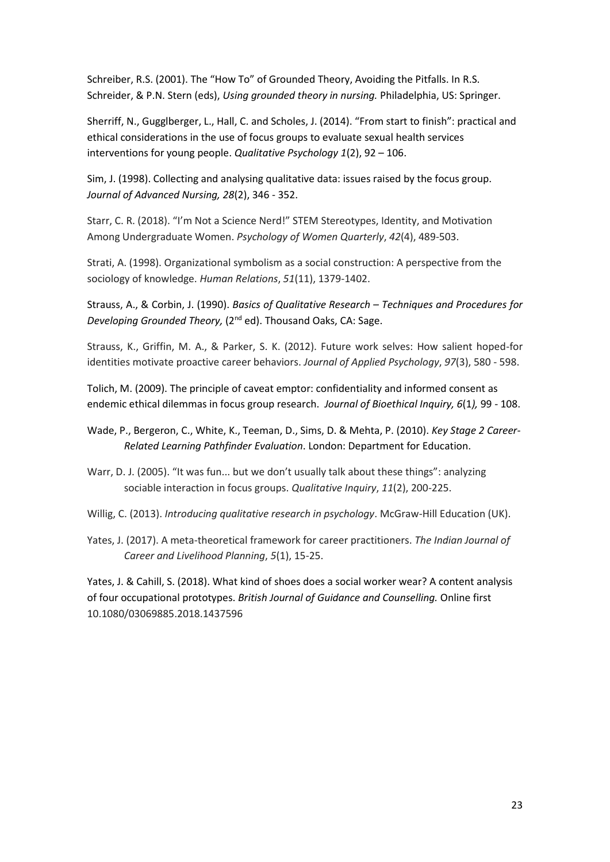Schreiber, R.S. (2001). The "How To" of Grounded Theory, Avoiding the Pitfalls. In R.S. Schreider, & P.N. Stern (eds), *Using grounded theory in nursing.* Philadelphia, US: Springer.

Sherriff, N., Gugglberger, L., Hall, C. and Scholes, J. (2014). "From start to finish": practical and ethical considerations in the use of focus groups to evaluate sexual health services interventions for young people. *Qualitative Psychology 1*(2), 92 – 106.

Sim, J. (1998). Collecting and analysing qualitative data: issues raised by the focus group. *Journal of Advanced Nursing, 28*(2), 346 - 352.

Starr, C. R. (2018). "I'm Not a Science Nerd!" STEM Stereotypes, Identity, and Motivation Among Undergraduate Women. *Psychology of Women Quarterly*, *42*(4), 489-503.

Strati, A. (1998). Organizational symbolism as a social construction: A perspective from the sociology of knowledge. *Human Relations*, *51*(11), 1379-1402.

Strauss, A., & Corbin, J. (1990). *Basics of Qualitative Research – Techniques and Procedures for Developing Grounded Theory,* (2nd ed). Thousand Oaks, CA: Sage.

Strauss, K., Griffin, M. A., & Parker, S. K. (2012). Future work selves: How salient hoped-for identities motivate proactive career behaviors. *Journal of Applied Psychology*, *97*(3), 580 - 598.

Tolich, M. (2009). The principle of caveat emptor: confidentiality and informed consent as endemic ethical dilemmas in focus group research. *Journal of Bioethical Inquiry, 6*(1*),* 99 - 108.

Wade, P., Bergeron, C., White, K., Teeman, D., Sims, D. & Mehta, P. (2010). *Key Stage 2 Career-Related Learning Pathfinder Evaluation*. London: Department for Education.

Warr, D. J. (2005). "It was fun... but we don't usually talk about these things": analyzing sociable interaction in focus groups. *Qualitative Inquiry*, *11*(2), 200-225.

Willig, C. (2013). *Introducing qualitative research in psychology*. McGraw-Hill Education (UK).

Yates, J. (2017). A meta-theoretical framework for career practitioners. *The Indian Journal of Career and Livelihood Planning*, *5*(1), 15-25.

Yates, J. & Cahill, S. (2018). What kind of shoes does a social worker wear? A content analysis of four occupational prototypes. *British Journal of Guidance and Counselling.* Online first 10.1080/03069885.2018.1437596